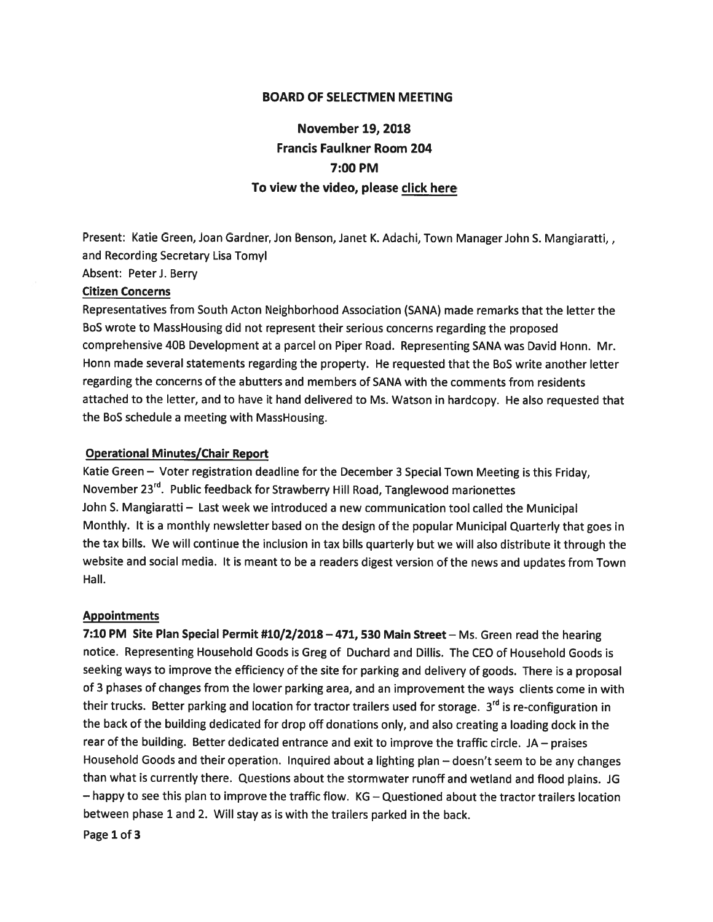## BOARD OF SELECTMEN MEETING

# November 19, 2018 Francis Faulkner Room 204 7:00 PM To view the video, please click here

Present: Katie Green, Joan Gardner, Jon Benson, Janet K. Adachi, Town Manager John S. Mangiaratti,, and Recording Secretary Lisa Tomyl

Absent: PeterJ. Berry

#### Citizen Concerns

Representatives from South Acton Neighborhood Association (SANA) made remarks that the letter the B0S wrote to MassHousing did not represen<sup>t</sup> their serious concerns regarding the propose<sup>d</sup> comprehensive 4DB Development at <sup>a</sup> parcel on Piper Road. Representing SANA was David Honn. Mr. Honn made several statements regarding the property. He requested that the BoS write another letter regarding the concerns of the abutters and members of SANA with the comments from residents attached to the letter, and to have it hand delivered to Ms. Watson in hardcopy. He also requested that the BoS schedule <sup>a</sup> meeting with MassHousing.

### Operational Minutes/Chair Report

Katie Green — Voter registration deadline for the December <sup>3</sup> Special Town Meeting is this Friday, November 23<sup>rd</sup>. Public feedback for Strawberry Hill Road, Tanglewood marionettes John S. Mangiaratti — Last week we introduced <sup>a</sup> new communication tool called the Municipal Monthly. It is <sup>a</sup> monthly newsletter based on the design of the popular Municipal Quarterly that goes in the tax bills. We will continue the inclusion in tax bills quarterly but we will also distribute it through the website and social media. It is meant to be <sup>a</sup> readers digest version of the news and updates from Town Hall.

#### **Appointments**

7:10 PM Site Plan Special Permit #10/2/2018 - 471, 530 Main Street - Ms. Green read the hearing notice. Representing Household Goods is Greg of Duchard and Dillis. The CEO of Household Goods is seeking ways to improve the efficiency of the site for parking and delivery of goods. There is <sup>a</sup> proposa<sup>l</sup> of <sup>3</sup> <sup>p</sup>hases of changes from the lower parking area, and an improvement the ways clients come in with their trucks. Better parking and location for tractor trailers used for storage. 3<sup>rd</sup> is re-configuration in the back of the building dedicated for drop off donations only, and also creating <sup>a</sup> loading dock in the rear of the building. Better dedicated entrance and exit to improve the traffic circle. JA — praises Household Goods and their operation. Inquired about <sup>a</sup> lighting <sup>p</sup>lan — doesn't seem to be any changes than what is currently there. Questions about the stormwater runoff and wetland and flood <sup>p</sup>lains. JG — happy to see this <sup>p</sup>lan to improve the traffic flow. KG — Questioned about the tractor trailers location between <sup>p</sup>hase <sup>1</sup> and 2. Will stay as is with the trailers parked in the back.

Page 1 of 3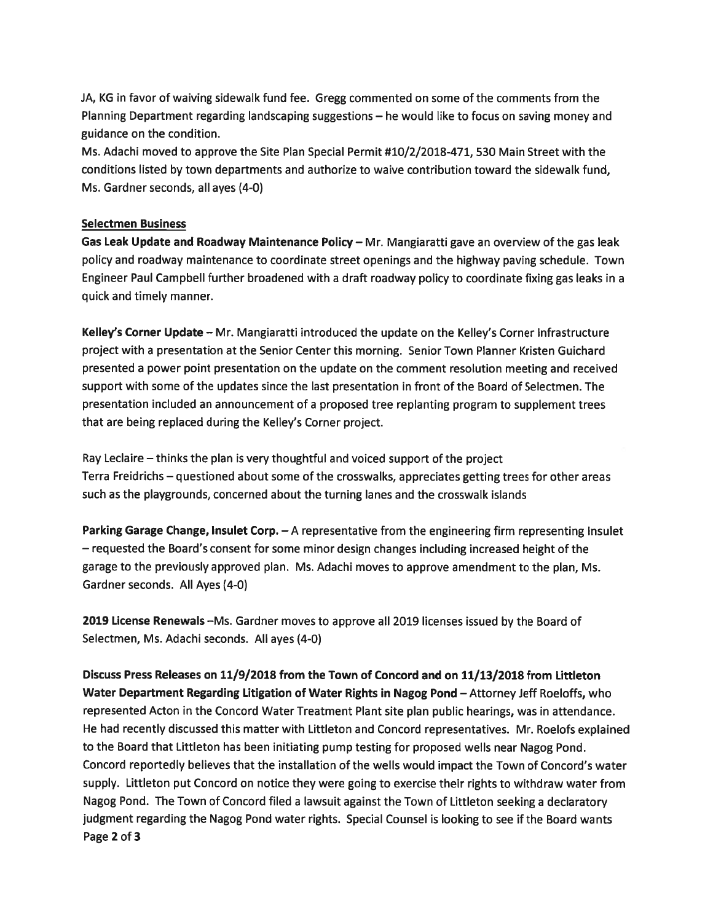JA, KG in favor of waiving sidewalk fund fee. Gregg commented on some of the comments from the Planning Department regarding landscaping suggestions — he would like to focus on saving money and guidance on the condition.

Ms. Adachi moved to approve the Site Plan Special Permit #10/2/2018-471, 530 Main Street with the conditions listed by town departments and authorize to waive contribution toward the sidewalk fund, Ms. Gardner seconds, all ayes (4-0)

## Selectmen Business

Gas Leak Update and Roadway Maintenance Policy - Mr. Mangiaratti gave an overview of the gas leak policy and roadway maintenance to coordinate street openings and the highway paving schedule. Town Engineer Paul Campbell further broadened with <sup>a</sup> draft roadway policy to coordinate fixing gas leaks in <sup>a</sup> quick and timely manner.

Kelley's Corner Update - Mr. Mangiaratti introduced the update on the Kelley's Corner Infrastructure project with <sup>a</sup> presentation at the Senior Center this morning. Senior Town Planner Kristen Guichard presented <sup>a</sup> power point presentation on the update on the comment resolution meeting and received suppor<sup>t</sup> with some of the updates since the last presentation in front of the Board of Selectmen. The presentation included an announcement of <sup>a</sup> proposed tree replanting program to supplement trees that are being replaced during the Kelley's Corner project.

Ray Leclaire — thinks the plan is very thoughtful and voiced suppor<sup>t</sup> of the project Terra Freidrichs — questioned about some of the crosswalks, appreciates getting trees for other areas such as the playgrounds, concerned about the turning lanes and the crosswalk islands

Parking Garage Change, Insulet Corp.  $- A$  representative from the engineering firm representing Insulet — requested the Board's consent for some minor design changes including increased height of the garage to the previously approved plan. Ms. Adachi moves to approve amendment to the plan, Ms. Gardner seconds. All Ayes (4-0)

<sup>2019</sup> License Renewals —Ms. Gardner moves to approve all 2019 licenses issued by the Board of Selectmen, Ms. Adachi seconds. All ayes (4-0)

Discuss Press Releases on 11/9/2013 from the Town of Concord and on 11/13/2018 from Littleton Water Department Regarding Litigation of Water Rights in Nagog Pond — Attorney Jeff Roeloffs, who represented Acton in the Concord Water Treatment Plant site <sup>p</sup>lan public hearings, was in attendance. He had recently discussed this matter with Littleton and Concord representatives. Mr. Roelofs explained to the Board that Littleton has been initiating pump testing for proposed wells near Nagog Pond. Concord reportedly believes that the installation of the wells would impact the Town of Concord's water supply. Littleton pu<sup>t</sup> Concord on notice they were going to exercise their rights to withdraw water from Nagog Pond. The Town of Concord filed <sup>a</sup> lawsuit against the Town of Littleton seeking <sup>a</sup> declaratory judgment regarding the Nagog Pond water rights. Special Counsel is looking to see if the Board wants Page 2 of 3